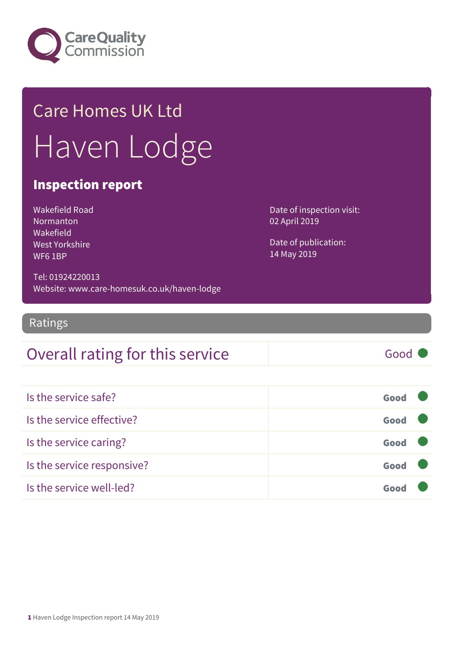

## Care Homes UK Ltd Haven Lodge

#### Inspection report

Wakefield Road **Normanton** Wakefield West Yorkshire WF6 1BP

Date of inspection visit: 02 April 2019

Date of publication: 14 May 2019

Tel: 01924220013 Website: www.care-homesuk.co.uk/haven-lodge

Ratings

#### Overall rating for this service Fig. 6000

| Is the service safe?       | Good |  |
|----------------------------|------|--|
| Is the service effective?  | Good |  |
| Is the service caring?     | Good |  |
| Is the service responsive? | Good |  |
| Is the service well-led?   |      |  |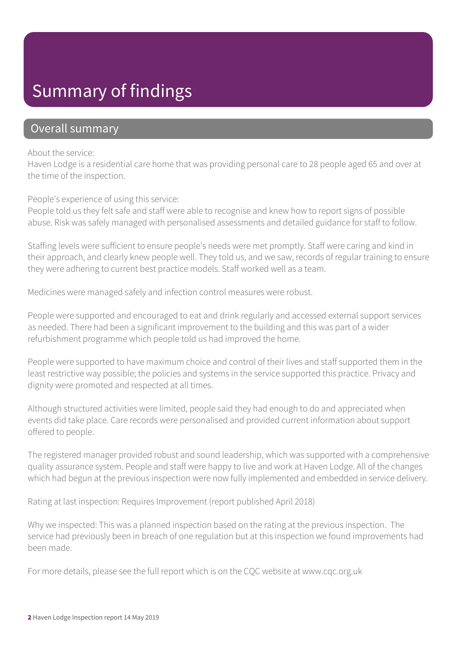### Summary of findings

#### Overall summary

About the service:

Haven Lodge is a residential care home that was providing personal care to 28 people aged 65 and over at the time of the inspection.

People's experience of using this service:

People told us they felt safe and staff were able to recognise and knew how to report signs of possible abuse. Risk was safely managed with personalised assessments and detailed guidance for staff to follow.

Staffing levels were sufficient to ensure people's needs were met promptly. Staff were caring and kind in their approach, and clearly knew people well. They told us, and we saw, records of regular training to ensure they were adhering to current best practice models. Staff worked well as a team.

Medicines were managed safely and infection control measures were robust.

People were supported and encouraged to eat and drink regularly and accessed external support services as needed. There had been a significant improvement to the building and this was part of a wider refurbishment programme which people told us had improved the home.

People were supported to have maximum choice and control of their lives and staff supported them in the least restrictive way possible; the policies and systems in the service supported this practice. Privacy and dignity were promoted and respected at all times.

Although structured activities were limited, people said they had enough to do and appreciated when events did take place. Care records were personalised and provided current information about support offered to people.

The registered manager provided robust and sound leadership, which was supported with a comprehensive quality assurance system. People and staff were happy to live and work at Haven Lodge. All of the changes which had begun at the previous inspection were now fully implemented and embedded in service delivery.

Rating at last inspection: Requires Improvement (report published April 2018)

Why we inspected: This was a planned inspection based on the rating at the previous inspection. The service had previously been in breach of one regulation but at this inspection we found improvements had been made.

For more details, please see the full report which is on the CQC website at www.cqc.org.uk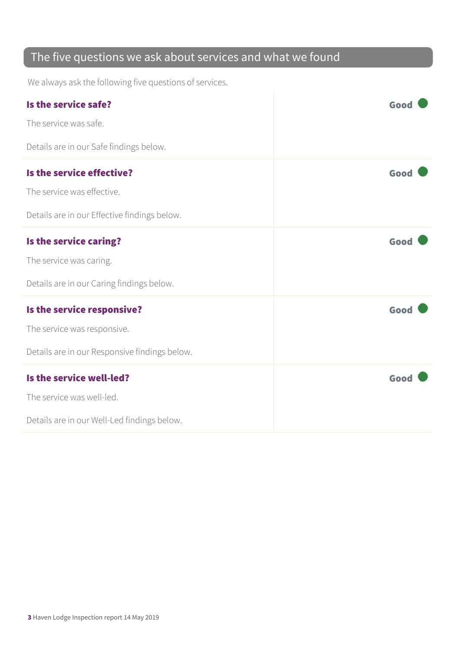#### The five questions we ask about services and what we found

We always ask the following five questions of services.

| Is the service safe?                          | Good |
|-----------------------------------------------|------|
| The service was safe.                         |      |
| Details are in our Safe findings below.       |      |
| Is the service effective?                     | Good |
| The service was effective.                    |      |
| Details are in our Effective findings below.  |      |
| Is the service caring?                        | Good |
| The service was caring.                       |      |
| Details are in our Caring findings below.     |      |
| Is the service responsive?                    | Good |
| The service was responsive.                   |      |
| Details are in our Responsive findings below. |      |
| Is the service well-led?                      | Good |
| The service was well-led.                     |      |
| Details are in our Well-Led findings below.   |      |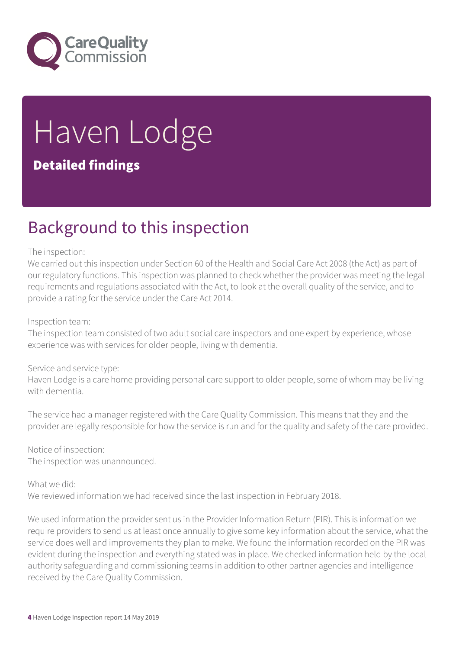

# Haven Lodge

#### Detailed findings

### Background to this inspection

#### The inspection:

We carried out this inspection under Section 60 of the Health and Social Care Act 2008 (the Act) as part of our regulatory functions. This inspection was planned to check whether the provider was meeting the legal requirements and regulations associated with the Act, to look at the overall quality of the service, and to provide a rating for the service under the Care Act 2014.

#### Inspection team:

The inspection team consisted of two adult social care inspectors and one expert by experience, whose experience was with services for older people, living with dementia.

#### Service and service type:

Haven Lodge is a care home providing personal care support to older people, some of whom may be living with dementia.

The service had a manager registered with the Care Quality Commission. This means that they and the provider are legally responsible for how the service is run and for the quality and safety of the care provided.

Notice of inspection: The inspection was unannounced.

What we did:

We reviewed information we had received since the last inspection in February 2018.

We used information the provider sent us in the Provider Information Return (PIR). This is information we require providers to send us at least once annually to give some key information about the service, what the service does well and improvements they plan to make. We found the information recorded on the PIR was evident during the inspection and everything stated was in place. We checked information held by the local authority safeguarding and commissioning teams in addition to other partner agencies and intelligence received by the Care Quality Commission.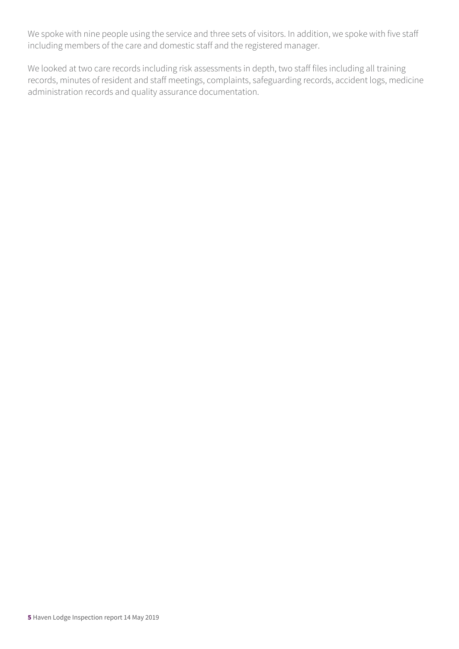We spoke with nine people using the service and three sets of visitors. In addition, we spoke with five staff including members of the care and domestic staff and the registered manager.

We looked at two care records including risk assessments in depth, two staff files including all training records, minutes of resident and staff meetings, complaints, safeguarding records, accident logs, medicine administration records and quality assurance documentation.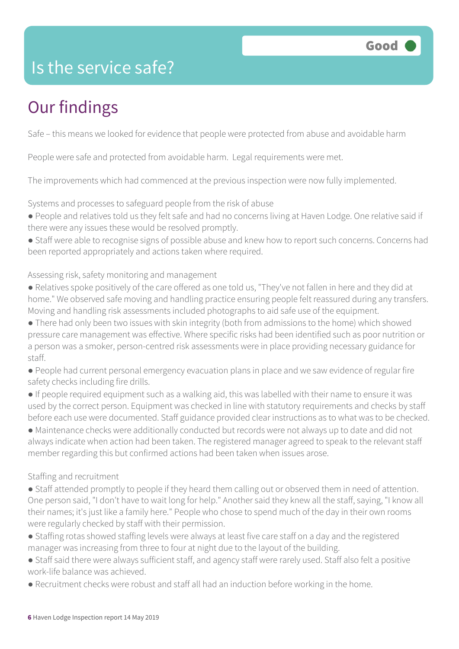### Is the service safe?

### Our findings

Safe – this means we looked for evidence that people were protected from abuse and avoidable harm

People were safe and protected from avoidable harm. Legal requirements were met.

The improvements which had commenced at the previous inspection were now fully implemented.

Systems and processes to safeguard people from the risk of abuse

- People and relatives told us they felt safe and had no concerns living at Haven Lodge. One relative said if there were any issues these would be resolved promptly.
- Staff were able to recognise signs of possible abuse and knew how to report such concerns. Concerns had been reported appropriately and actions taken where required.

#### Assessing risk, safety monitoring and management

- Relatives spoke positively of the care offered as one told us, "They've not fallen in here and they did at home." We observed safe moving and handling practice ensuring people felt reassured during any transfers. Moving and handling risk assessments included photographs to aid safe use of the equipment.
- There had only been two issues with skin integrity (both from admissions to the home) which showed pressure care management was effective. Where specific risks had been identified such as poor nutrition or a person was a smoker, person-centred risk assessments were in place providing necessary guidance for staff.
- People had current personal emergency evacuation plans in place and we saw evidence of regular fire safety checks including fire drills.
- If people required equipment such as a walking aid, this was labelled with their name to ensure it was used by the correct person. Equipment was checked in line with statutory requirements and checks by staff before each use were documented. Staff guidance provided clear instructions as to what was to be checked.
- Maintenance checks were additionally conducted but records were not always up to date and did not always indicate when action had been taken. The registered manager agreed to speak to the relevant staff member regarding this but confirmed actions had been taken when issues arose.

#### Staffing and recruitment

- Staff attended promptly to people if they heard them calling out or observed them in need of attention. One person said, "I don't have to wait long for help." Another said they knew all the staff, saying, "I know all their names; it's just like a family here." People who chose to spend much of the day in their own rooms were regularly checked by staff with their permission.
- Staffing rotas showed staffing levels were always at least five care staff on a day and the registered manager was increasing from three to four at night due to the layout of the building.
- Staff said there were always sufficient staff, and agency staff were rarely used. Staff also felt a positive work-life balance was achieved.
- Recruitment checks were robust and staff all had an induction before working in the home.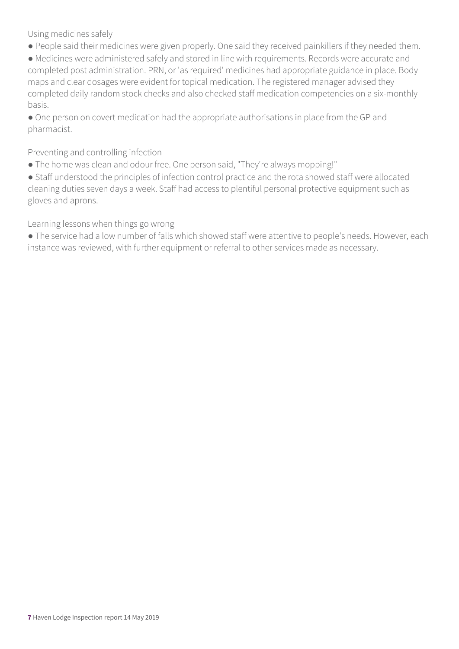Using medicines safely

● People said their medicines were given properly. One said they received painkillers if they needed them.

● Medicines were administered safely and stored in line with requirements. Records were accurate and completed post administration. PRN, or 'as required' medicines had appropriate guidance in place. Body maps and clear dosages were evident for topical medication. The registered manager advised they completed daily random stock checks and also checked staff medication competencies on a six-monthly basis.

● One person on covert medication had the appropriate authorisations in place from the GP and pharmacist.

Preventing and controlling infection

● The home was clean and odour free. One person said, "They're always mopping!"

● Staff understood the principles of infection control practice and the rota showed staff were allocated cleaning duties seven days a week. Staff had access to plentiful personal protective equipment such as gloves and aprons.

Learning lessons when things go wrong

● The service had a low number of falls which showed staff were attentive to people's needs. However, each instance was reviewed, with further equipment or referral to other services made as necessary.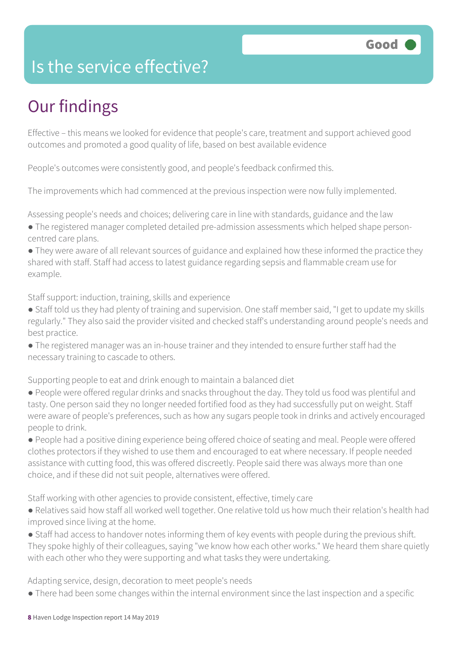### Is the service effective?

### Our findings

Effective – this means we looked for evidence that people's care, treatment and support achieved good outcomes and promoted a good quality of life, based on best available evidence

People's outcomes were consistently good, and people's feedback confirmed this.

The improvements which had commenced at the previous inspection were now fully implemented.

Assessing people's needs and choices; delivering care in line with standards, guidance and the law

- The registered manager completed detailed pre-admission assessments which helped shape personcentred care plans.
- They were aware of all relevant sources of guidance and explained how these informed the practice they shared with staff. Staff had access to latest guidance regarding sepsis and flammable cream use for example.

Staff support: induction, training, skills and experience

- Staff told us they had plenty of training and supervision. One staff member said, "I get to update my skills regularly." They also said the provider visited and checked staff's understanding around people's needs and best practice.
- The registered manager was an in-house trainer and they intended to ensure further staff had the necessary training to cascade to others.

Supporting people to eat and drink enough to maintain a balanced diet

- People were offered regular drinks and snacks throughout the day. They told us food was plentiful and tasty. One person said they no longer needed fortified food as they had successfully put on weight. Staff were aware of people's preferences, such as how any sugars people took in drinks and actively encouraged people to drink.
- People had a positive dining experience being offered choice of seating and meal. People were offered clothes protectors if they wished to use them and encouraged to eat where necessary. If people needed assistance with cutting food, this was offered discreetly. People said there was always more than one choice, and if these did not suit people, alternatives were offered.

Staff working with other agencies to provide consistent, effective, timely care

- Relatives said how staff all worked well together. One relative told us how much their relation's health had improved since living at the home.
- Staff had access to handover notes informing them of key events with people during the previous shift. They spoke highly of their colleagues, saying "we know how each other works." We heard them share quietly with each other who they were supporting and what tasks they were undertaking.

Adapting service, design, decoration to meet people's needs

● There had been some changes within the internal environment since the last inspection and a specific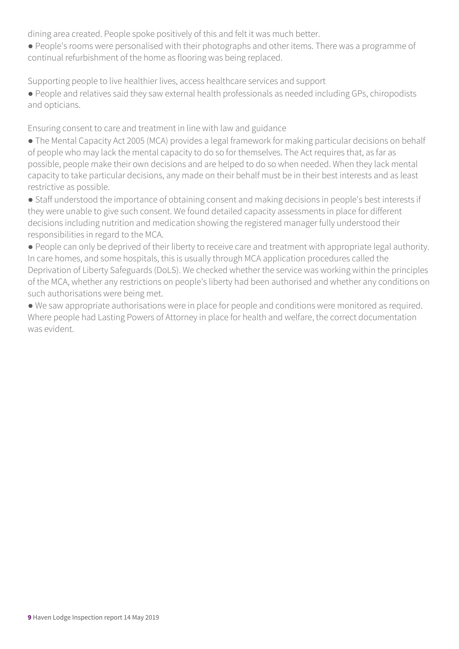dining area created. People spoke positively of this and felt it was much better.

● People's rooms were personalised with their photographs and other items. There was a programme of continual refurbishment of the home as flooring was being replaced.

Supporting people to live healthier lives, access healthcare services and support

● People and relatives said they saw external health professionals as needed including GPs, chiropodists and opticians.

Ensuring consent to care and treatment in line with law and guidance

- The Mental Capacity Act 2005 (MCA) provides a legal framework for making particular decisions on behalf of people who may lack the mental capacity to do so for themselves. The Act requires that, as far as possible, people make their own decisions and are helped to do so when needed. When they lack mental capacity to take particular decisions, any made on their behalf must be in their best interests and as least restrictive as possible.
- Staff understood the importance of obtaining consent and making decisions in people's best interests if they were unable to give such consent. We found detailed capacity assessments in place for different decisions including nutrition and medication showing the registered manager fully understood their responsibilities in regard to the MCA.
- People can only be deprived of their liberty to receive care and treatment with appropriate legal authority. In care homes, and some hospitals, this is usually through MCA application procedures called the Deprivation of Liberty Safeguards (DoLS). We checked whether the service was working within the principles of the MCA, whether any restrictions on people's liberty had been authorised and whether any conditions on such authorisations were being met.
- We saw appropriate authorisations were in place for people and conditions were monitored as required. Where people had Lasting Powers of Attorney in place for health and welfare, the correct documentation was evident.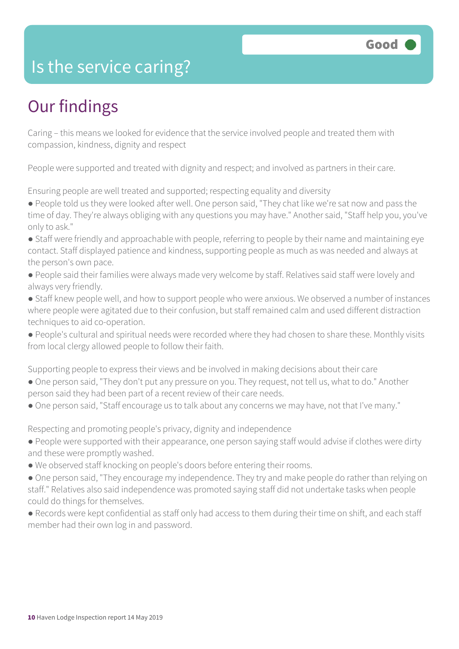#### Is the service caring?

### Our findings

Caring – this means we looked for evidence that the service involved people and treated them with compassion, kindness, dignity and respect

People were supported and treated with dignity and respect; and involved as partners in their care.

Ensuring people are well treated and supported; respecting equality and diversity

● People told us they were looked after well. One person said, "They chat like we're sat now and pass the time of day. They're always obliging with any questions you may have." Another said, "Staff help you, you've only to ask."

- Staff were friendly and approachable with people, referring to people by their name and maintaining eye contact. Staff displayed patience and kindness, supporting people as much as was needed and always at the person's own pace.
- People said their families were always made very welcome by staff. Relatives said staff were lovely and always very friendly.

● Staff knew people well, and how to support people who were anxious. We observed a number of instances where people were agitated due to their confusion, but staff remained calm and used different distraction techniques to aid co-operation.

● People's cultural and spiritual needs were recorded where they had chosen to share these. Monthly visits from local clergy allowed people to follow their faith.

Supporting people to express their views and be involved in making decisions about their care

- One person said, "They don't put any pressure on you. They request, not tell us, what to do." Another person said they had been part of a recent review of their care needs.
- One person said, "Staff encourage us to talk about any concerns we may have, not that I've many."

Respecting and promoting people's privacy, dignity and independence

- People were supported with their appearance, one person saying staff would advise if clothes were dirty and these were promptly washed.
- We observed staff knocking on people's doors before entering their rooms.
- One person said, "They encourage my independence. They try and make people do rather than relying on staff." Relatives also said independence was promoted saying staff did not undertake tasks when people could do things for themselves.
- Records were kept confidential as staff only had access to them during their time on shift, and each staff member had their own log in and password.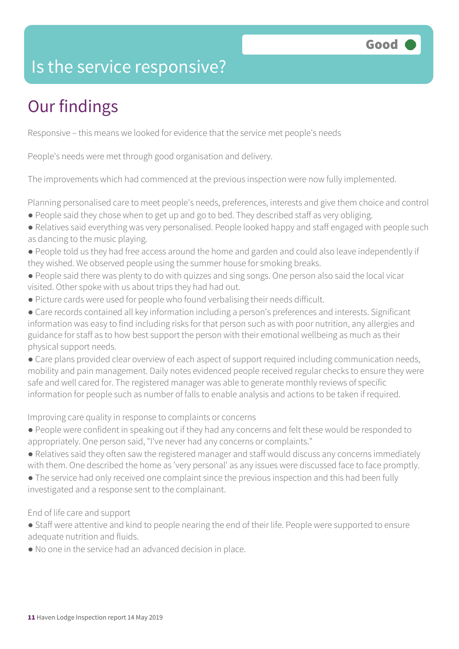### Is the service responsive?

### Our findings

Responsive – this means we looked for evidence that the service met people's needs

People's needs were met through good organisation and delivery.

The improvements which had commenced at the previous inspection were now fully implemented.

Planning personalised care to meet people's needs, preferences, interests and give them choice and control

- People said they chose when to get up and go to bed. They described staff as very obliging.
- Relatives said everything was very personalised. People looked happy and staff engaged with people such as dancing to the music playing.
- People told us they had free access around the home and garden and could also leave independently if they wished. We observed people using the summer house for smoking breaks.
- People said there was plenty to do with quizzes and sing songs. One person also said the local vicar visited. Other spoke with us about trips they had had out.
- Picture cards were used for people who found verbalising their needs difficult.
- Care records contained all key information including a person's preferences and interests. Significant information was easy to find including risks for that person such as with poor nutrition, any allergies and guidance for staff as to how best support the person with their emotional wellbeing as much as their physical support needs.

• Care plans provided clear overview of each aspect of support required including communication needs, mobility and pain management. Daily notes evidenced people received regular checks to ensure they were safe and well cared for. The registered manager was able to generate monthly reviews of specific information for people such as number of falls to enable analysis and actions to be taken if required.

Improving care quality in response to complaints or concerns

- People were confident in speaking out if they had any concerns and felt these would be responded to appropriately. One person said, "I've never had any concerns or complaints."
- Relatives said they often saw the registered manager and staff would discuss any concerns immediately with them. One described the home as 'very personal' as any issues were discussed face to face promptly.
- The service had only received one complaint since the previous inspection and this had been fully investigated and a response sent to the complainant.

End of life care and support

- Staff were attentive and kind to people nearing the end of their life. People were supported to ensure adequate nutrition and fluids.
- No one in the service had an advanced decision in place.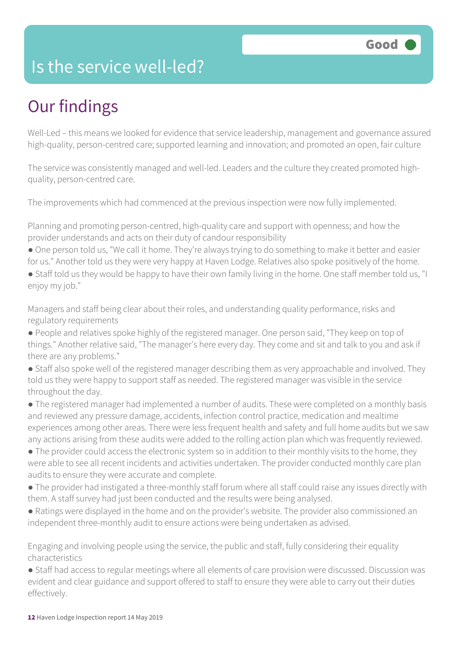#### Is the service well-led?

### Our findings

Well-Led – this means we looked for evidence that service leadership, management and governance assured high-quality, person-centred care; supported learning and innovation; and promoted an open, fair culture

The service was consistently managed and well-led. Leaders and the culture they created promoted highquality, person-centred care.

The improvements which had commenced at the previous inspection were now fully implemented.

Planning and promoting person-centred, high-quality care and support with openness; and how the provider understands and acts on their duty of candour responsibility

- One person told us, "We call it home. They're always trying to do something to make it better and easier for us." Another told us they were very happy at Haven Lodge. Relatives also spoke positively of the home.
- Staff told us they would be happy to have their own family living in the home. One staff member told us, "I enjoy my job."

Managers and staff being clear about their roles, and understanding quality performance, risks and regulatory requirements

- People and relatives spoke highly of the registered manager. One person said, "They keep on top of things." Another relative said, "The manager's here every day. They come and sit and talk to you and ask if there are any problems."
- Staff also spoke well of the registered manager describing them as very approachable and involved. They told us they were happy to support staff as needed. The registered manager was visible in the service throughout the day.
- The registered manager had implemented a number of audits. These were completed on a monthly basis and reviewed any pressure damage, accidents, infection control practice, medication and mealtime experiences among other areas. There were less frequent health and safety and full home audits but we saw any actions arising from these audits were added to the rolling action plan which was frequently reviewed.
- The provider could access the electronic system so in addition to their monthly visits to the home, they were able to see all recent incidents and activities undertaken. The provider conducted monthly care plan audits to ensure they were accurate and complete.
- The provider had instigated a three-monthly staff forum where all staff could raise any issues directly with them. A staff survey had just been conducted and the results were being analysed.
- Ratings were displayed in the home and on the provider's website. The provider also commissioned an independent three-monthly audit to ensure actions were being undertaken as advised.

Engaging and involving people using the service, the public and staff, fully considering their equality characteristics

● Staff had access to regular meetings where all elements of care provision were discussed. Discussion was evident and clear guidance and support offered to staff to ensure they were able to carry out their duties effectively.